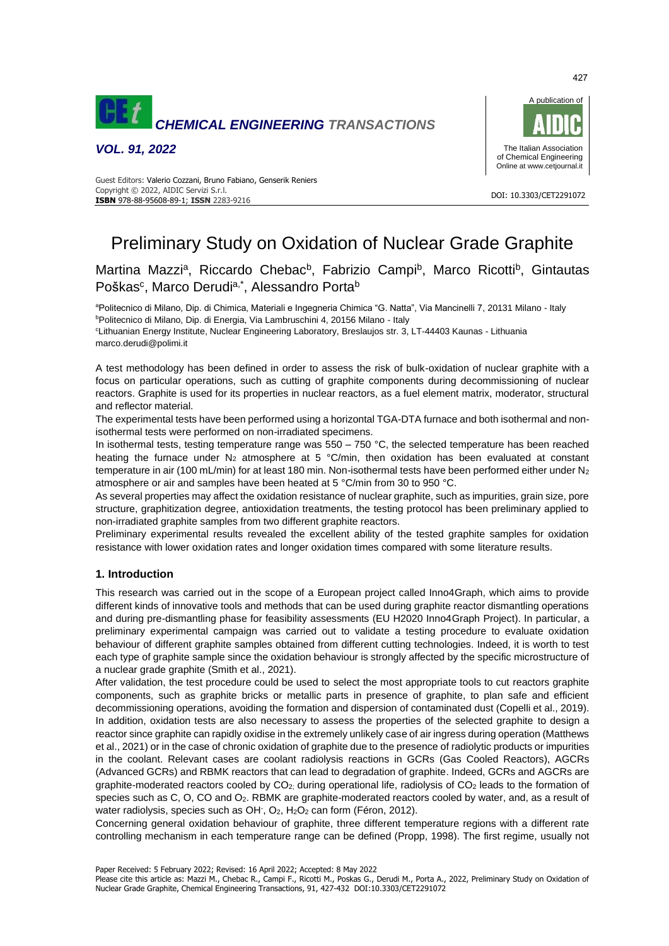

*VOL. 91, 2022*



#### DOI: 10.3303/CET2291072 **ISBN** 978-88-95608-89-1; **ISSN** 2283-9216 Guest Editors: Valerio Cozzani, Bruno Fabiano, Genserik Reniers Copyright © 2022, AIDIC Servizi S.r.l.

# Preliminary Study on Oxidation of Nuclear Grade Graphite

# Martina Mazzi<sup>a</sup>, Riccardo Chebac<sup>b</sup>, Fabrizio Campi<sup>b</sup>, Marco Ricotti<sup>b</sup>, Gintautas Poškas<sup>c</sup>, Marco Derudi<sup>a,\*</sup>, Alessandro Porta<sup>b</sup>

<sup>a</sup>Politecnico di Milano, Dip. di Chimica, Materiali e Ingegneria Chimica "G. Natta", Via Mancinelli 7, 20131 Milano - Italy <sup>b</sup>Politecnico di Milano, Dip. di Energia, Via Lambruschini 4, 20156 Milano - Italy

<sup>c</sup>Lithuanian Energy Institute, Nuclear Engineering Laboratory, Breslaujos str. 3, LT-44403 Kaunas - Lithuania marco.derudi@polimi.it

A test methodology has been defined in order to assess the risk of bulk-oxidation of nuclear graphite with a focus on particular operations, such as cutting of graphite components during decommissioning of nuclear reactors. Graphite is used for its properties in nuclear reactors, as a fuel element matrix, moderator, structural and reflector material.

The experimental tests have been performed using a horizontal TGA-DTA furnace and both isothermal and nonisothermal tests were performed on non-irradiated specimens.

In isothermal tests, testing temperature range was  $550 - 750$  °C, the selected temperature has been reached heating the furnace under N<sub>2</sub> atmosphere at 5 °C/min, then oxidation has been evaluated at constant temperature in air (100 mL/min) for at least 180 min. Non-isothermal tests have been performed either under  $N_2$ atmosphere or air and samples have been heated at 5 °C/min from 30 to 950 °C.

As several properties may affect the oxidation resistance of nuclear graphite, such as impurities, grain size, pore structure, graphitization degree, antioxidation treatments, the testing protocol has been preliminary applied to non-irradiated graphite samples from two different graphite reactors.

Preliminary experimental results revealed the excellent ability of the tested graphite samples for oxidation resistance with lower oxidation rates and longer oxidation times compared with some literature results.

## **1. Introduction**

This research was carried out in the scope of a European project called Inno4Graph, which aims to provide different kinds of innovative tools and methods that can be used during graphite reactor dismantling operations and during pre-dismantling phase for feasibility assessments (EU H2020 Inno4Graph Project). In particular, a preliminary experimental campaign was carried out to validate a testing procedure to evaluate oxidation behaviour of different graphite samples obtained from different cutting technologies. Indeed, it is worth to test each type of graphite sample since the oxidation behaviour is strongly affected by the specific microstructure of a nuclear grade graphite (Smith et al., 2021).

After validation, the test procedure could be used to select the most appropriate tools to cut reactors graphite components, such as graphite bricks or metallic parts in presence of graphite, to plan safe and efficient decommissioning operations, avoiding the formation and dispersion of contaminated dust (Copelli et al., 2019). In addition, oxidation tests are also necessary to assess the properties of the selected graphite to design a reactor since graphite can rapidly oxidise in the extremely unlikely case of air ingress during operation (Matthews et al., 2021) or in the case of chronic oxidation of graphite due to the presence of radiolytic products or impurities in the coolant. Relevant cases are coolant radiolysis reactions in GCRs (Gas Cooled Reactors), AGCRs (Advanced GCRs) and RBMK reactors that can lead to degradation of graphite. Indeed, GCRs and AGCRs are graphite-moderated reactors cooled by CO2; during operational life, radiolysis of CO<sup>2</sup> leads to the formation of species such as C, O, CO and O<sub>2</sub>. RBMK are graphite-moderated reactors cooled by water, and, as a result of water radiolysis, species such as OH<sup>-</sup>, O<sub>2</sub>, H<sub>2</sub>O<sub>2</sub> can form (Féron, 2012).

Concerning general oxidation behaviour of graphite, three different temperature regions with a different rate controlling mechanism in each temperature range can be defined (Propp, 1998). The first regime, usually not

Paper Received: 5 February 2022; Revised: 16 April 2022; Accepted: 8 May 2022

Please cite this article as: Mazzi M., Chebac R., Campi F., Ricotti M., Poskas G., Derudi M., Porta A., 2022, Preliminary Study on Oxidation of Nuclear Grade Graphite, Chemical Engineering Transactions, 91, 427-432 DOI:10.3303/CET2291072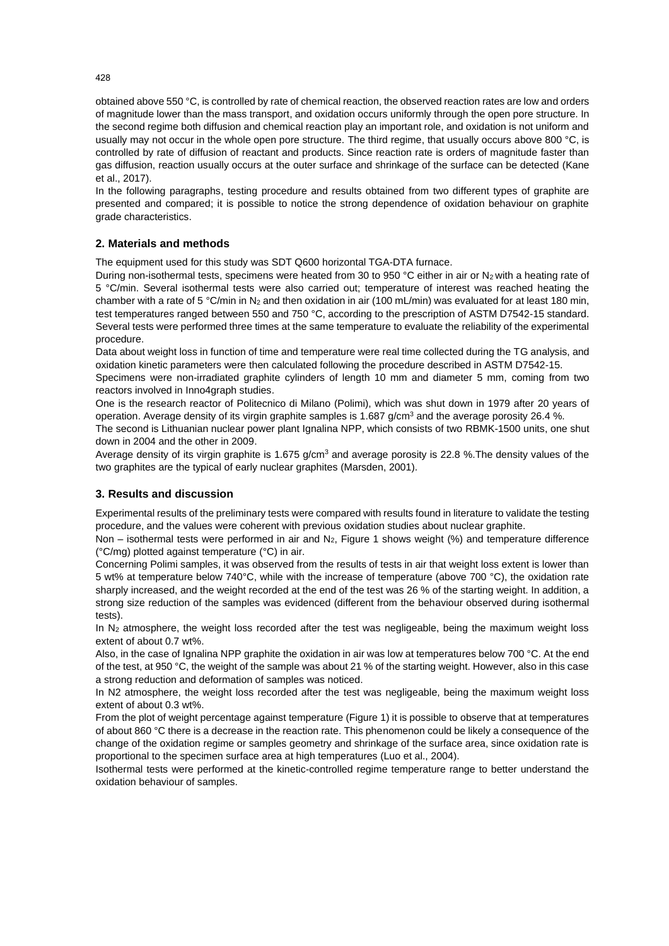obtained above 550 °C, is controlled by rate of chemical reaction, the observed reaction rates are low and orders of magnitude lower than the mass transport, and oxidation occurs uniformly through the open pore structure. In the second regime both diffusion and chemical reaction play an important role, and oxidation is not uniform and usually may not occur in the whole open pore structure. The third regime, that usually occurs above 800 °C, is controlled by rate of diffusion of reactant and products. Since reaction rate is orders of magnitude faster than gas diffusion, reaction usually occurs at the outer surface and shrinkage of the surface can be detected (Kane et al., 2017).

In the following paragraphs, testing procedure and results obtained from two different types of graphite are presented and compared; it is possible to notice the strong dependence of oxidation behaviour on graphite grade characteristics.

# **2. Materials and methods**

The equipment used for this study was SDT Q600 horizontal TGA-DTA furnace.

During non-isothermal tests, specimens were heated from 30 to 950 °C either in air or N<sub>2</sub> with a heating rate of 5 °C/min. Several isothermal tests were also carried out; temperature of interest was reached heating the chamber with a rate of 5 °C/min in N<sub>2</sub> and then oxidation in air (100 mL/min) was evaluated for at least 180 min, test temperatures ranged between 550 and 750 °C, according to the prescription of ASTM D7542-15 standard. Several tests were performed three times at the same temperature to evaluate the reliability of the experimental procedure.

Data about weight loss in function of time and temperature were real time collected during the TG analysis, and oxidation kinetic parameters were then calculated following the procedure described in ASTM D7542-15.

Specimens were non-irradiated graphite cylinders of length 10 mm and diameter 5 mm, coming from two reactors involved in Inno4graph studies.

One is the research reactor of Politecnico di Milano (Polimi), which was shut down in 1979 after 20 years of operation. Average density of its virgin graphite samples is 1.687 g/cm<sup>3</sup> and the average porosity 26.4 %.

The second is Lithuanian nuclear power plant Ignalina NPP, which consists of two RBMK-1500 units, one shut down in 2004 and the other in 2009.

Average density of its virgin graphite is 1.675 g/cm<sup>3</sup> and average porosity is 22.8 %. The density values of the two graphites are the typical of early nuclear graphites (Marsden, 2001).

## **3. Results and discussion**

Experimental results of the preliminary tests were compared with results found in literature to validate the testing procedure, and the values were coherent with previous oxidation studies about nuclear graphite.

Non – isothermal tests were performed in air and  $N_2$ , Figure 1 shows weight (%) and temperature difference (°C/mg) plotted against temperature (°C) in air.

Concerning Polimi samples, it was observed from the results of tests in air that weight loss extent is lower than 5 wt% at temperature below 740°C, while with the increase of temperature (above 700 °C), the oxidation rate sharply increased, and the weight recorded at the end of the test was 26 % of the starting weight. In addition, a strong size reduction of the samples was evidenced (different from the behaviour observed during isothermal tests).

In N<sub>2</sub> atmosphere, the weight loss recorded after the test was negligeable, being the maximum weight loss extent of about 0.7 wt%.

Also, in the case of Ignalina NPP graphite the oxidation in air was low at temperatures below 700 °C. At the end of the test, at 950 °C, the weight of the sample was about 21 % of the starting weight. However, also in this case a strong reduction and deformation of samples was noticed.

In N2 atmosphere, the weight loss recorded after the test was negligeable, being the maximum weight loss extent of about 0.3 wt%.

From the plot of weight percentage against temperature (Figure 1) it is possible to observe that at temperatures of about 860 °C there is a decrease in the reaction rate. This phenomenon could be likely a consequence of the change of the oxidation regime or samples geometry and shrinkage of the surface area, since oxidation rate is proportional to the specimen surface area at high temperatures (Luo et al., 2004).

Isothermal tests were performed at the kinetic-controlled regime temperature range to better understand the oxidation behaviour of samples.

428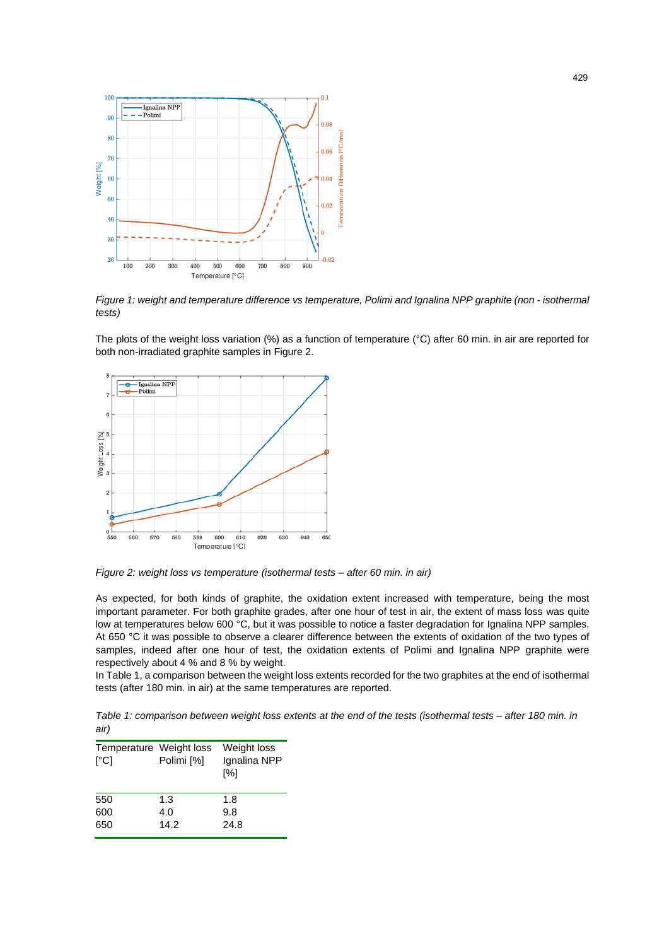

*Figure 1: weight and temperature difference vs temperature, Polimi and Ignalina NPP graphite (non - isothermal tests)*

The plots of the weight loss variation (%) as a function of temperature (°C) after 60 min. in air are reported for both non-irradiated graphite samples in Figure 2.



*Figure 2: weight loss vs temperature (isothermal tests – after 60 min. in air)*

As expected, for both kinds of graphite, the oxidation extent increased with temperature, being the most important parameter. For both graphite grades, after one hour of test in air, the extent of mass loss was quite low at temperatures below 600 °C, but it was possible to notice a faster degradation for Ignalina NPP samples. At 650 °C it was possible to observe a clearer difference between the extents of oxidation of the two types of samples, indeed after one hour of test, the oxidation extents of Polimi and Ignalina NPP graphite were respectively about 4 % and 8 % by weight.

In Table 1, a comparison between the weight loss extents recorded for the two graphites at the end of isothermal tests (after 180 min. in air) at the same temperatures are reported.

*Table 1: comparison between weight loss extents at the end of the tests (isothermal tests – after 180 min. in air)*

| Temperature Weight loss<br>$\Gamma$ <sup>o</sup> Cl | Polimi [%] | Weight loss<br>Ignalina NPP<br>$\lceil\% \rceil$ |
|-----------------------------------------------------|------------|--------------------------------------------------|
| 550                                                 | 1.3        | 1.8                                              |
| 600                                                 | 4.0        | 9.8                                              |
| 650                                                 | 14.2       | 24.8                                             |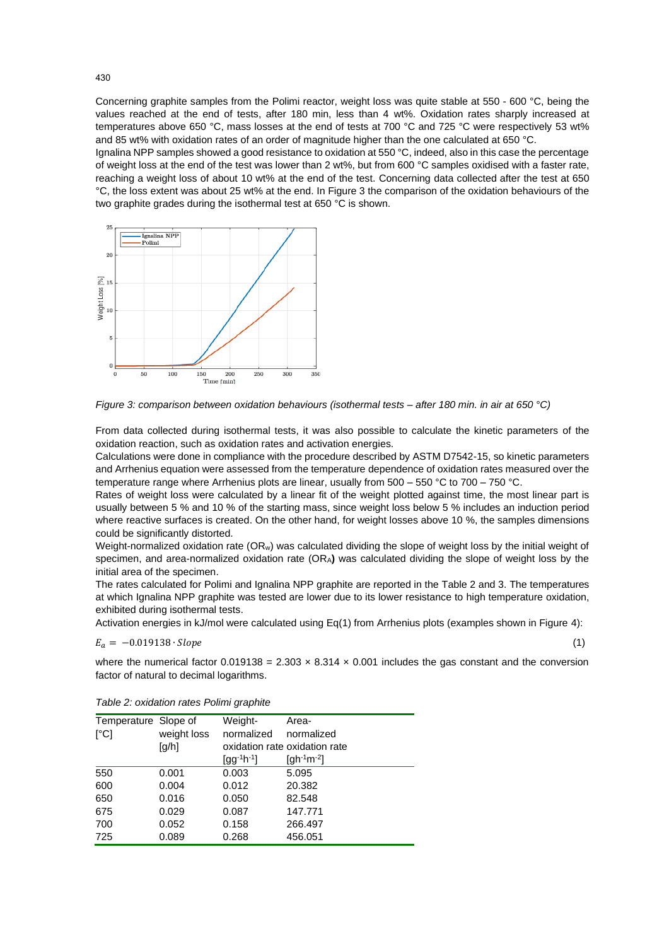Concerning graphite samples from the Polimi reactor, weight loss was quite stable at 550 - 600 °C, being the values reached at the end of tests, after 180 min, less than 4 wt%. Oxidation rates sharply increased at temperatures above 650 °C, mass losses at the end of tests at 700 °C and 725 °C were respectively 53 wt% and 85 wt% with oxidation rates of an order of magnitude higher than the one calculated at 650 °C.

Ignalina NPP samples showed a good resistance to oxidation at 550 °C, indeed, also in this case the percentage of weight loss at the end of the test was lower than 2 wt%, but from 600 °C samples oxidised with a faster rate, reaching a weight loss of about 10 wt% at the end of the test. Concerning data collected after the test at 650 °C, the loss extent was about 25 wt% at the end. In Figure 3 the comparison of the oxidation behaviours of the two graphite grades during the isothermal test at 650 °C is shown.



*Figure 3: comparison between oxidation behaviours (isothermal tests – after 180 min. in air at 650 °C)*

From data collected during isothermal tests, it was also possible to calculate the kinetic parameters of the oxidation reaction, such as oxidation rates and activation energies.

Calculations were done in compliance with the procedure described by ASTM D7542-15, so kinetic parameters and Arrhenius equation were assessed from the temperature dependence of oxidation rates measured over the temperature range where Arrhenius plots are linear, usually from 500 – 550 °C to 700 – 750 °C.

Rates of weight loss were calculated by a linear fit of the weight plotted against time, the most linear part is usually between 5 % and 10 % of the starting mass, since weight loss below 5 % includes an induction period where reactive surfaces is created. On the other hand, for weight losses above 10 %, the samples dimensions could be significantly distorted.

Weight-normalized oxidation rate (ORw) was calculated dividing the slope of weight loss by the initial weight of specimen, and area-normalized oxidation rate (ORA**)** was calculated dividing the slope of weight loss by the initial area of the specimen.

The rates calculated for Polimi and Ignalina NPP graphite are reported in the Table 2 and 3. The temperatures at which Ignalina NPP graphite was tested are lower due to its lower resistance to high temperature oxidation, exhibited during isothermal tests.

Activation energies in kJ/mol were calculated using Eq(1) from Arrhenius plots (examples shown in Figure 4):

$$
E_a = -0.019138 \cdot Slope \tag{1}
$$

where the numerical factor  $0.019138 = 2.303 \times 8.314 \times 0.001$  includes the gas constant and the conversion factor of natural to decimal logarithms.

| Temperature Slope of |                     | Weight-           | Area-                               |
|----------------------|---------------------|-------------------|-------------------------------------|
| [°C]                 | weight loss         | normalized        | normalized                          |
|                      | $\lceil q/h \rceil$ |                   | oxidation rate oxidation rate       |
|                      |                     | $[gg^{-1}h^{-1}]$ | [gh <sup>-1</sup> m <sup>-2</sup> ] |
| 550                  | 0.001               | 0.003             | 5.095                               |
| 600                  | 0.004               | 0.012             | 20.382                              |
| 650                  | 0.016               | 0.050             | 82.548                              |
| 675                  | 0.029               | 0.087             | 147.771                             |
| 700                  | 0.052               | 0.158             | 266.497                             |
| 725                  | 0.089               | 0.268             | 456.051                             |

*Table 2: oxidation rates Polimi graphite*

430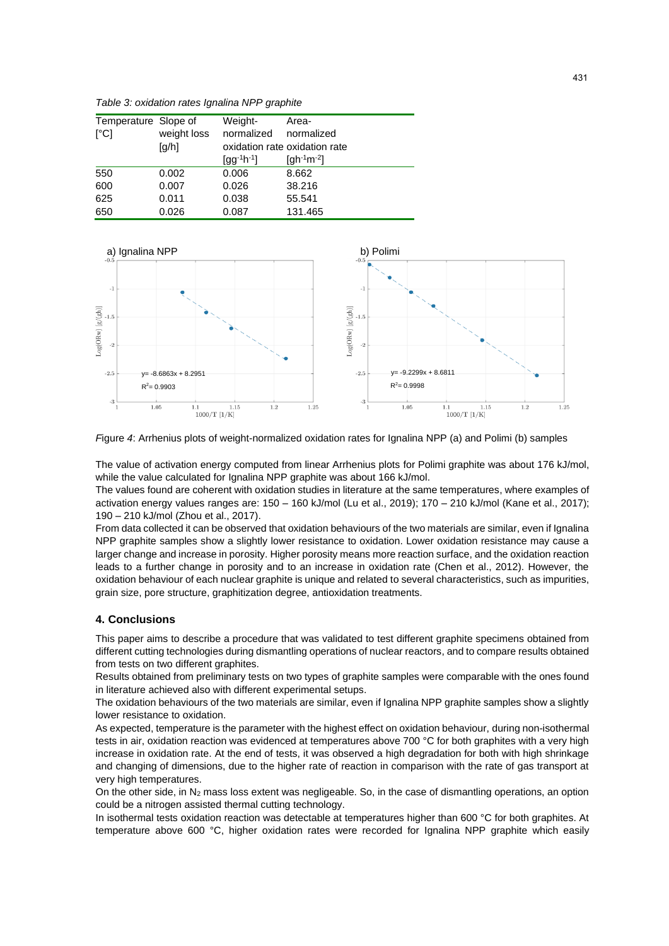*Table 3: oxidation rates Ignalina NPP graphite*

| Temperature Slope of |             | Weight-           | Area-                               |
|----------------------|-------------|-------------------|-------------------------------------|
| [°C]                 | weight loss | normalized        | normalized                          |
|                      | [g/h]       |                   | oxidation rate oxidation rate       |
|                      |             | $[gg^{-1}h^{-1}]$ | [gh <sup>-1</sup> m <sup>-2</sup> ] |
| 550                  | 0.002       | 0.006             | 8.662                               |
| 600                  | 0.007       | 0.026             | 38.216                              |
| 625                  | 0.011       | 0.038             | 55.541                              |
| 650                  | 0.026       | 0.087             | 131.465                             |



*F*igure 4: Arrhenius plots of weight-normalized oxidation rates for Ignalina NPP (a) and Polimi (b) samples

The value of activation energy computed from linear Arrhenius plots for Polimi graphite was about 176 kJ/mol, while the value calculated for Ignalina NPP graphite was about 166 kJ/mol.

The values found are coherent with oxidation studies in literature at the same temperatures, where examples of activation energy values ranges are: 150 – 160 kJ/mol (Lu et al., 2019); 170 – 210 kJ/mol (Kane et al., 2017); 190 – 210 kJ/mol (Zhou et al., 2017).

From data collected it can be observed that oxidation behaviours of the two materials are similar, even if Ignalina NPP graphite samples show a slightly lower resistance to oxidation. Lower oxidation resistance may cause a larger change and increase in porosity. Higher porosity means more reaction surface, and the oxidation reaction leads to a further change in porosity and to an increase in oxidation rate (Chen et al., 2012). However, the oxidation behaviour of each nuclear graphite is unique and related to several characteristics, such as impurities, grain size, pore structure, graphitization degree, antioxidation treatments.

## **4. Conclusions**

This paper aims to describe a procedure that was validated to test different graphite specimens obtained from different cutting technologies during dismantling operations of nuclear reactors, and to compare results obtained from tests on two different graphites.

Results obtained from preliminary tests on two types of graphite samples were comparable with the ones found in literature achieved also with different experimental setups.

The oxidation behaviours of the two materials are similar, even if Ignalina NPP graphite samples show a slightly lower resistance to oxidation.

As expected, temperature is the parameter with the highest effect on oxidation behaviour, during non-isothermal tests in air, oxidation reaction was evidenced at temperatures above 700 °C for both graphites with a very high increase in oxidation rate. At the end of tests, it was observed a high degradation for both with high shrinkage and changing of dimensions, due to the higher rate of reaction in comparison with the rate of gas transport at very high temperatures.

On the other side, in N<sub>2</sub> mass loss extent was negligeable. So, in the case of dismantling operations, an option could be a nitrogen assisted thermal cutting technology.

In isothermal tests oxidation reaction was detectable at temperatures higher than 600 °C for both graphites. At temperature above 600 °C, higher oxidation rates were recorded for Ignalina NPP graphite which easily